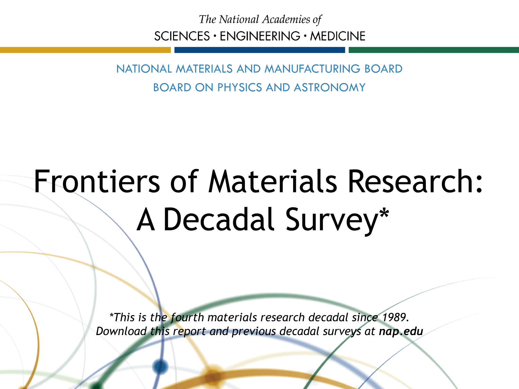The National Academies of SCIENCES · ENGINEERING · MEDICINE

NATIONAL MATERIALS AND MANUFACTURING BOARD BOARD ON PHYSICS AND ASTRONOMY

# Frontiers of Materials Research: A Decadal Survey\*

*\*This is the fourth materials research decadal since 1989. Download this report and previous decadal surveys at nap.edu*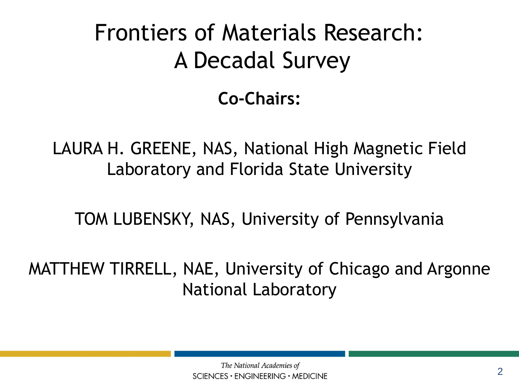### Frontiers of Materials Research: A Decadal Survey

**Co-Chairs:**

LAURA H. GREENE, NAS, National High Magnetic Field Laboratory and Florida State University

TOM LUBENSKY, NAS, University of Pennsylvania

MATTHEW TIRRELL, NAE, University of Chicago and Argonne National Laboratory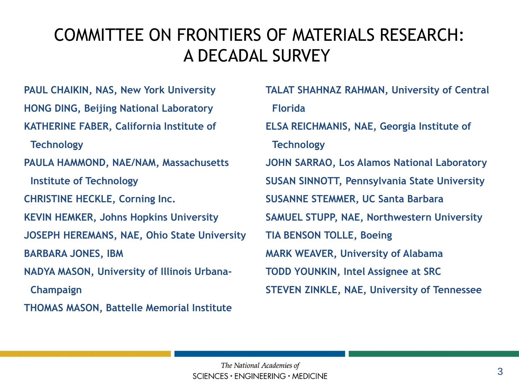#### COMMITTEE ON FRONTIERS OF MATERIALS RESEARCH: A DECADAL SURVEY

**PAUL CHAIKIN, NAS, New York University HONG DING, Beijing National Laboratory KATHERINE FABER, California Institute of Technology PAULA HAMMOND, NAE/NAM, Massachusetts Institute of Technology CHRISTINE HECKLE, Corning Inc. KEVIN HEMKER, Johns Hopkins University JOSEPH HEREMANS, NAE, Ohio State University BARBARA JONES, IBM NADYA MASON, University of Illinois Urbana-Champaign THOMAS MASON, Battelle Memorial Institute**

**TALAT SHAHNAZ RAHMAN, University of Central Florida ELSA REICHMANIS, NAE, Georgia Institute of Technology JOHN SARRAO, Los Alamos National Laboratory SUSAN SINNOTT, Pennsylvania State University SUSANNE STEMMER, UC Santa Barbara SAMUEL STUPP, NAE, Northwestern University TIA BENSON TOLLE, Boeing MARK WEAVER, University of Alabama TODD YOUNKIN, Intel Assignee at SRC STEVEN ZINKLE, NAE, University of Tennessee**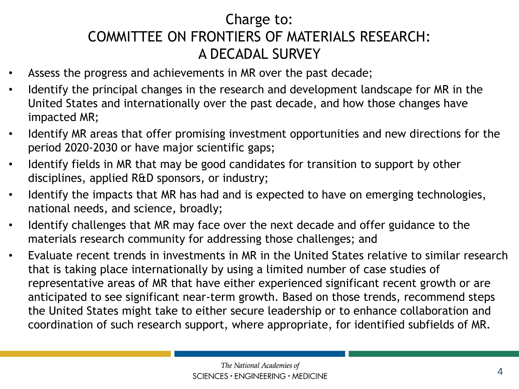#### Charge to: COMMITTEE ON FRONTIERS OF MATERIALS RESEARCH: A DECADAL SURVEY

- Assess the progress and achievements in MR over the past decade;
- Identify the principal changes in the research and development landscape for MR in the United States and internationally over the past decade, and how those changes have impacted MR;
- Identify MR areas that offer promising investment opportunities and new directions for the period 2020-2030 or have major scientific gaps;
- Identify fields in MR that may be good candidates for transition to support by other disciplines, applied R&D sponsors, or industry;
- Identify the impacts that MR has had and is expected to have on emerging technologies, national needs, and science, broadly;
- Identify challenges that MR may face over the next decade and offer guidance to the materials research community for addressing those challenges; and
- Evaluate recent trends in investments in MR in the United States relative to similar research that is taking place internationally by using a limited number of case studies of representative areas of MR that have either experienced significant recent growth or are anticipated to see significant near-term growth. Based on those trends, recommend steps the United States might take to either secure leadership or to enhance collaboration and coordination of such research support, where appropriate, for identified subfields of MR.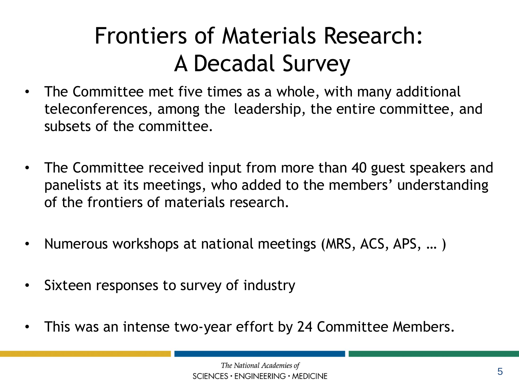#### Frontiers of Materials Research: A Decadal Survey

- The Committee met five times as a whole, with many additional teleconferences, among the leadership, the entire committee, and subsets of the committee.
- The Committee received input from more than 40 guest speakers and panelists at its meetings, who added to the members' understanding of the frontiers of materials research.
- Numerous workshops at national meetings (MRS, ACS, APS, … )
- Sixteen responses to survey of industry
- This was an intense two-year effort by 24 Committee Members.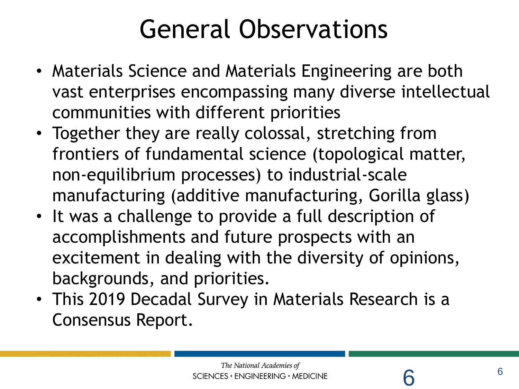## General Observations

- Materials Science and Materials Engineering are both vast enterprises encompassing many diverse intellectual communities with different priorities
- Together they are really colossal, stretching from frontiers of fundamental science (topological matter, non-equilibrium processes) to industrial-scale manufacturing (additive manufacturing, Gorilla glass)
- It was a challenge to provide a full description of accomplishments and future prospects with an excitement in dealing with the diversity of opinions, backgrounds, and priorities.
- This 2019 Decadal Survey in Materials Research is a Consensus Report.

6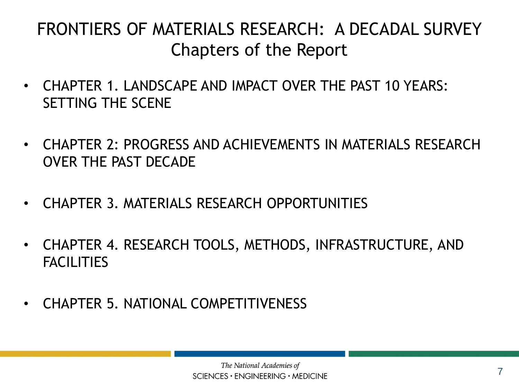#### FRONTIERS OF MATERIALS RESEARCH: A DECADAL SURVEY Chapters of the Report

- CHAPTER 1. LANDSCAPE AND IMPACT OVER THE PAST 10 YEARS: SETTING THE SCENE
- CHAPTER 2: PROGRESS AND ACHIEVEMENTS IN MATERIALS RESEARCH OVER THE PAST DECADE
- CHAPTER 3. MATERIALS RESEARCH OPPORTUNITIES
- CHAPTER 4. RESEARCH TOOLS, METHODS, INFRASTRUCTURE, AND FACILITIES
- CHAPTER 5. NATIONAL COMPETITIVENESS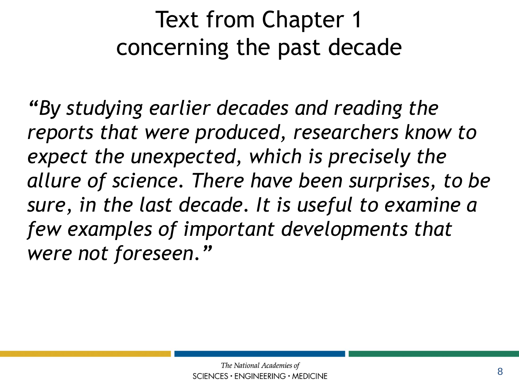#### Text from Chapter 1 concerning the past decade

*"By studying earlier decades and reading the reports that were produced, researchers know to expect the unexpected, which is precisely the allure of science. There have been surprises, to be sure, in the last decade. It is useful to examine a few examples of important developments that were not foreseen*.*"*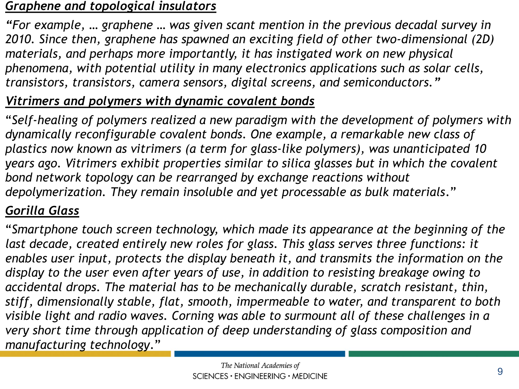#### *Graphene and topological insulators*

*"For example, … graphene … was given scant mention in the previous decadal survey in 2010. Since then, graphene has spawned an exciting field of other two-dimensional (2D) materials, and perhaps more importantly, it has instigated work on new physical phenomena, with potential utility in many electronics applications such as solar cells, transistors, transistors, camera sensors, digital screens, and semiconductors."*

#### *Vitrimers and polymers with dynamic covalent bonds*

"*Self-healing of polymers realized a new paradigm with the development of polymers with dynamically reconfigurable covalent bonds. One example, a remarkable new class of plastics now known as vitrimers (a term for glass-like polymers), was unanticipated 10 years ago. Vitrimers exhibit properties similar to silica glasses but in which the covalent bond network topology can be rearranged by exchange reactions without depolymerization. They remain insoluble and yet processable as bulk materials*."

#### *Gorilla Glass*

"*Smartphone touch screen technology, which made its appearance at the beginning of the last decade, created entirely new roles for glass. This glass serves three functions: it enables user input, protects the display beneath it, and transmits the information on the display to the user even after years of use, in addition to resisting breakage owing to accidental drops. The material has to be mechanically durable, scratch resistant, thin, stiff, dimensionally stable, flat, smooth, impermeable to water, and transparent to both visible light and radio waves. Corning was able to surmount all of these challenges in a very short time through application of deep understanding of glass composition and manufacturing technology*."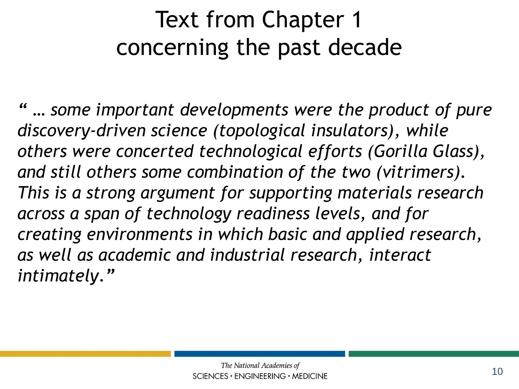#### Text from Chapter 1 concerning the past decade

*" … some important developments were the product of pure discovery-driven science (topological insulators), while others were concerted technological efforts (Gorilla Glass), and still others some combination of the two (vitrimers). This is a strong argument for supporting materials research across a span of technology readiness levels, and for creating environments in which basic and applied research, as well as academic and industrial research, interact intimately*.*"*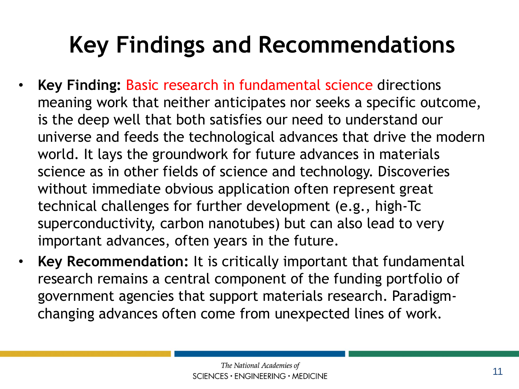### **Key Findings and Recommendations**

- **Key Finding:** Basic research in fundamental science directions meaning work that neither anticipates nor seeks a specific outcome, is the deep well that both satisfies our need to understand our universe and feeds the technological advances that drive the modern world. It lays the groundwork for future advances in materials science as in other fields of science and technology. Discoveries without immediate obvious application often represent great technical challenges for further development (e.g., high-Tc superconductivity, carbon nanotubes) but can also lead to very important advances, often years in the future.
- **Key Recommendation:** It is critically important that fundamental research remains a central component of the funding portfolio of government agencies that support materials research. Paradigmchanging advances often come from unexpected lines of work.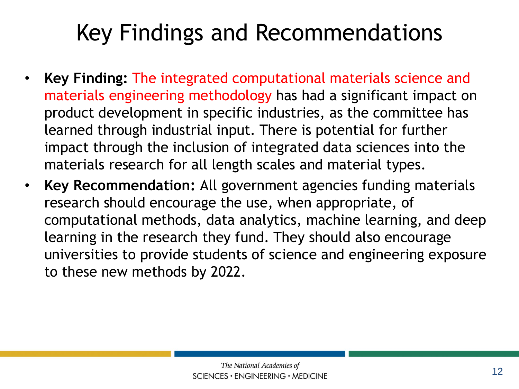### Key Findings and Recommendations

- **Key Finding:** The integrated computational materials science and materials engineering methodology has had a significant impact on product development in specific industries, as the committee has learned through industrial input. There is potential for further impact through the inclusion of integrated data sciences into the materials research for all length scales and material types.
- **Key Recommendation:** All government agencies funding materials research should encourage the use, when appropriate, of computational methods, data analytics, machine learning, and deep learning in the research they fund. They should also encourage universities to provide students of science and engineering exposure to these new methods by 2022.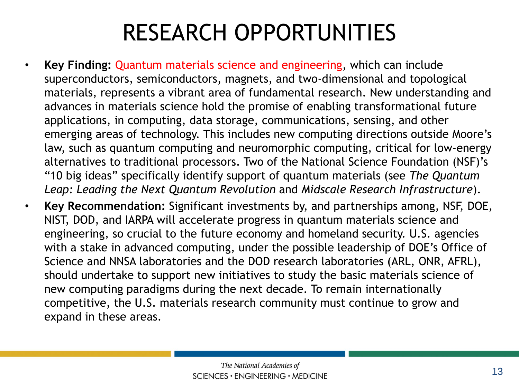#### RESEARCH OPPORTUNITIES

- **Key Finding:** Quantum materials science and engineering, which can include superconductors, semiconductors, magnets, and two-dimensional and topological materials, represents a vibrant area of fundamental research. New understanding and advances in materials science hold the promise of enabling transformational future applications, in computing, data storage, communications, sensing, and other emerging areas of technology. This includes new computing directions outside Moore's law, such as quantum computing and neuromorphic computing, critical for low-energy alternatives to traditional processors. Two of the National Science Foundation (NSF)'s "10 big ideas" specifically identify support of quantum materials (see *The Quantum Leap: Leading the Next Quantum Revolution* and *Midscale Research Infrastructure*).
- **Key Recommendation:** Significant investments by, and partnerships among, NSF, DOE, NIST, DOD, and IARPA will accelerate progress in quantum materials science and engineering, so crucial to the future economy and homeland security. U.S. agencies with a stake in advanced computing, under the possible leadership of DOE's Office of Science and NNSA laboratories and the DOD research laboratories (ARL, ONR, AFRL), should undertake to support new initiatives to study the basic materials science of new computing paradigms during the next decade. To remain internationally competitive, the U.S. materials research community must continue to grow and expand in these areas.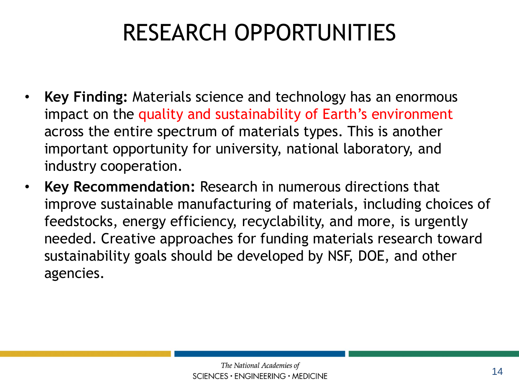### RESEARCH OPPORTUNITIES

- **Key Finding:** Materials science and technology has an enormous impact on the quality and sustainability of Earth's environment across the entire spectrum of materials types. This is another important opportunity for university, national laboratory, and industry cooperation.
- **Key Recommendation:** Research in numerous directions that improve sustainable manufacturing of materials, including choices of feedstocks, energy efficiency, recyclability, and more, is urgently needed. Creative approaches for funding materials research toward sustainability goals should be developed by NSF, DOE, and other agencies.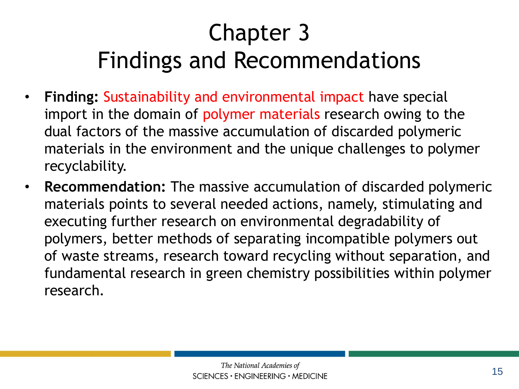### Chapter 3 Findings and Recommendations

- **Finding:** Sustainability and environmental impact have special import in the domain of polymer materials research owing to the dual factors of the massive accumulation of discarded polymeric materials in the environment and the unique challenges to polymer recyclability.
- **Recommendation:** The massive accumulation of discarded polymeric materials points to several needed actions, namely, stimulating and executing further research on environmental degradability of polymers, better methods of separating incompatible polymers out of waste streams, research toward recycling without separation, and fundamental research in green chemistry possibilities within polymer research.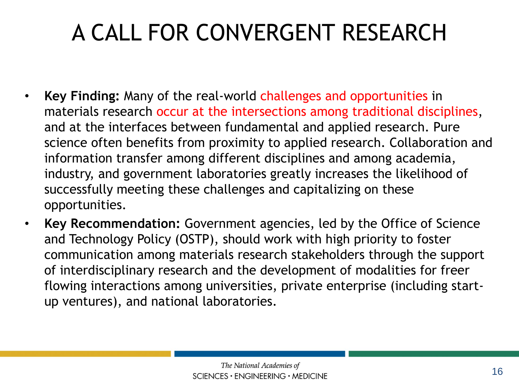## A CALL FOR CONVERGENT RESEARCH

- **Key Finding:** Many of the real-world challenges and opportunities in materials research occur at the intersections among traditional disciplines, and at the interfaces between fundamental and applied research. Pure science often benefits from proximity to applied research. Collaboration and information transfer among different disciplines and among academia, industry, and government laboratories greatly increases the likelihood of successfully meeting these challenges and capitalizing on these opportunities.
- **Key Recommendation:** Government agencies, led by the Office of Science and Technology Policy (OSTP), should work with high priority to foster communication among materials research stakeholders through the support of interdisciplinary research and the development of modalities for freer flowing interactions among universities, private enterprise (including startup ventures), and national laboratories.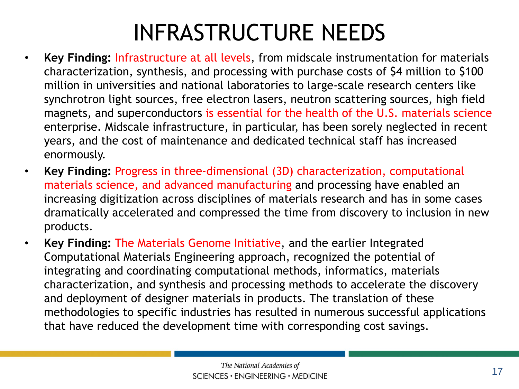### INFRASTRUCTURE NEEDS

- **Key Finding:** Infrastructure at all levels, from midscale instrumentation for materials characterization, synthesis, and processing with purchase costs of \$4 million to \$100 million in universities and national laboratories to large-scale research centers like synchrotron light sources, free electron lasers, neutron scattering sources, high field magnets, and superconductors is essential for the health of the U.S. materials science enterprise. Midscale infrastructure, in particular, has been sorely neglected in recent years, and the cost of maintenance and dedicated technical staff has increased enormously.
- **Key Finding:** Progress in three-dimensional (3D) characterization, computational materials science, and advanced manufacturing and processing have enabled an increasing digitization across disciplines of materials research and has in some cases dramatically accelerated and compressed the time from discovery to inclusion in new products.
- **Key Finding:** The Materials Genome Initiative, and the earlier Integrated Computational Materials Engineering approach, recognized the potential of integrating and coordinating computational methods, informatics, materials characterization, and synthesis and processing methods to accelerate the discovery and deployment of designer materials in products. The translation of these methodologies to specific industries has resulted in numerous successful applications that have reduced the development time with corresponding cost savings.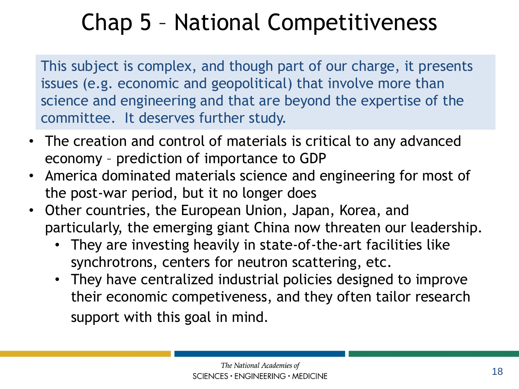### Chap 5 – National Competitiveness

This subject is complex, and though part of our charge, it presents issues (e.g. economic and geopolitical) that involve more than science and engineering and that are beyond the expertise of the committee. It deserves further study.

- The creation and control of materials is critical to any advanced economy – prediction of importance to GDP
- America dominated materials science and engineering for most of the post-war period, but it no longer does
- Other countries, the European Union, Japan, Korea, and particularly, the emerging giant China now threaten our leadership.
	- They are investing heavily in state-of-the-art facilities like synchrotrons, centers for neutron scattering, etc.
	- They have centralized industrial policies designed to improve their economic competiveness, and they often tailor research support with this goal in mind.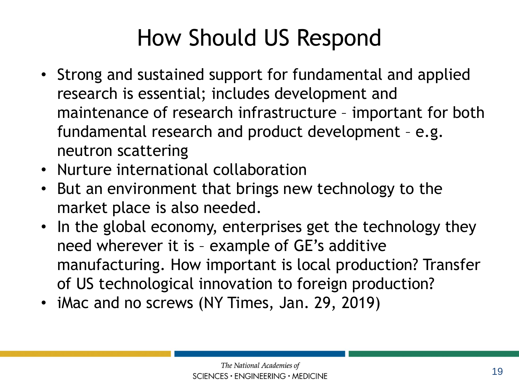### How Should US Respond

- Strong and sustained support for fundamental and applied research is essential; includes development and maintenance of research infrastructure – important for both fundamental research and product development – e.g. neutron scattering
- Nurture international collaboration
- But an environment that brings new technology to the market place is also needed.
- In the global economy, enterprises get the technology they need wherever it is – example of GE's additive manufacturing. How important is local production? Transfer of US technological innovation to foreign production?
- iMac and no screws (NY Times, Jan. 29, 2019)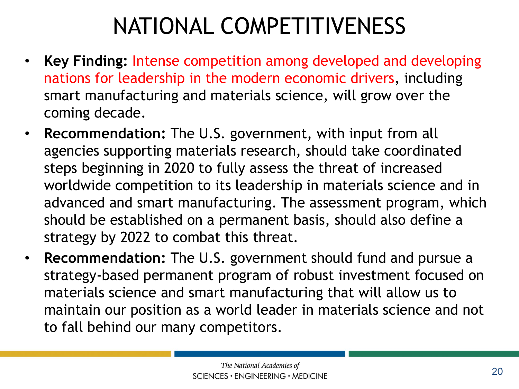#### NATIONAL COMPETITIVENESS

- **Key Finding:** Intense competition among developed and developing nations for leadership in the modern economic drivers, including smart manufacturing and materials science, will grow over the coming decade.
- **Recommendation:** The U.S. government, with input from all agencies supporting materials research, should take coordinated steps beginning in 2020 to fully assess the threat of increased worldwide competition to its leadership in materials science and in advanced and smart manufacturing. The assessment program, which should be established on a permanent basis, should also define a strategy by 2022 to combat this threat.
- **Recommendation:** The U.S. government should fund and pursue a strategy-based permanent program of robust investment focused on materials science and smart manufacturing that will allow us to maintain our position as a world leader in materials science and not to fall behind our many competitors.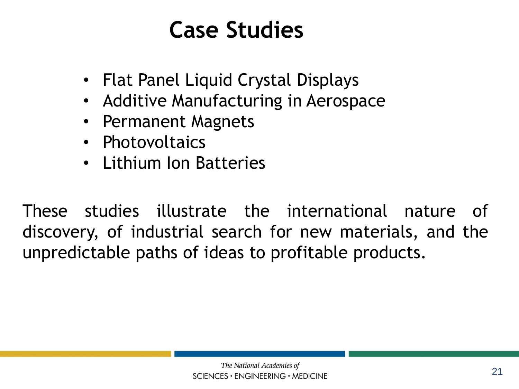#### **Case Studies**

- Flat Panel Liquid Crystal Displays
- Additive Manufacturing in Aerospace
- Permanent Magnets
- Photovoltaics
- Lithium Ion Batteries

These studies illustrate the international nature of discovery, of industrial search for new materials, and the unpredictable paths of ideas to profitable products.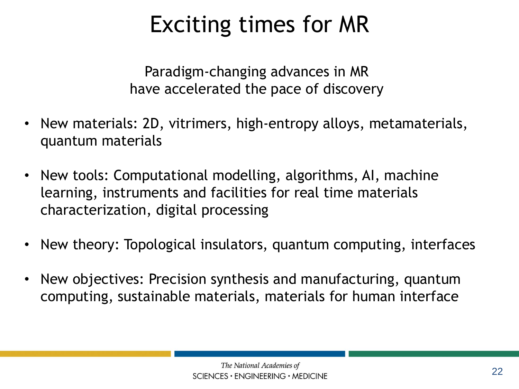#### Exciting times for MR

Paradigm-changing advances in MR have accelerated the pace of discovery

- New materials: 2D, vitrimers, high-entropy alloys, metamaterials, quantum materials
- New tools: Computational modelling, algorithms, AI, machine learning, instruments and facilities for real time materials characterization, digital processing
- New theory: Topological insulators, quantum computing, interfaces
- New objectives: Precision synthesis and manufacturing, quantum computing, sustainable materials, materials for human interface